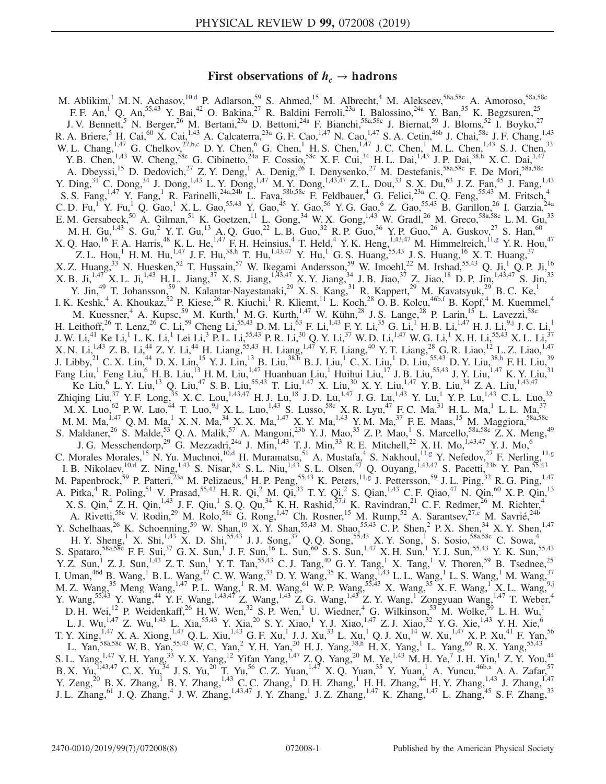## First observations of  $h_c \rightarrow$  hadrons

<span id="page-0-8"></span><span id="page-0-7"></span><span id="page-0-6"></span><span id="page-0-5"></span><span id="page-0-4"></span><span id="page-0-3"></span><span id="page-0-2"></span><span id="page-0-1"></span><span id="page-0-0"></span>M. Ablikim,<sup>1</sup> M. N. Achasov,<sup>1[0,d](#page-2-0)</sup> P. Adlarson,<sup>59</sup> S. Ahmed,<sup>15</sup> M. Albrecht,<sup>4</sup> M. Alekseev,<sup>58a,58c</sup> A. Amoroso,<sup>58a,58c</sup> F. F. An,<sup>1</sup> Q. An,<sup>55,43</sup> Y. Bai,<sup>42</sup> O. Bakina,<sup>27</sup> R. Baldini Ferroli,<sup>23a</sup> I. Balossino,<sup>24a</sup> Y. Ban,<sup>35</sup> K. Begzsuren,<sup>25</sup> J. V. Bennett,<sup>5</sup> N. Berger,<sup>26</sup> M. Bertani,<sup>23a</sup> D. Bettoni,<sup>24a</sup> F. Bianchi,<sup>58a,58c</sup> J. Biernat,<sup>59</sup> J. Bloms,<sup>52</sup> I. Boyko,<sup>27</sup> R. A. Briere,  $^{5}$  H. Cai,  $^{60}$  X. Cai,  $^{1,43}$  A. Calcaterra,  $^{23a}$  G. F. Cao,  $^{1,47}$  N. Cao,  $^{1,47}$  S. A. Cetin,  $^{46b}$  J. Chai,  $^{58c}$  J. F. Chang,  $^{1,43}$ W. L. Chang,<sup>1,47</sup> G. Chelkov,<sup>2[7,b,c](#page-2-1)</sup> D. Y. Chen,<sup>6</sup> G. Chen,<sup>1</sup> H. S. Chen,<sup>1,47</sup> J. C. Chen,<sup>1</sup> M. L. Chen,<sup>1,43</sup> S. J. Chen,<sup>33</sup> Y. B. Chen,<sup>1,43</sup> W. Cheng,<sup>58c</sup> G. Cibinetto,<sup>24a</sup> F. Cossio,<sup>58c</sup> X. F. Cui,<sup>34</sup> H. L. Dai,<sup>1,43</sup> J. P. Dai,<sup>38[,h](#page-2-2)</sup> X. C. Dai,<sup>1,47</sup> A. Dbeyssi,<sup>15</sup> D. Dedovich,<sup>27</sup> Z. Y. Deng,<sup>1</sup> A. Denig,<sup>26</sup> I. Denysenko,<sup>27</sup> M. Destefanis,<sup>58a,58c</sup> F. De Mori,<sup>58a,58c</sup> Y. Ding,<sup>31</sup> C. Dong,<sup>34</sup> J. Dong,<sup>1,43</sup> L. Y. Dong,<sup>1,47</sup> M. Y. Dong,<sup>1,43,47</sup> Z. L. Dou,<sup>33</sup> S. X. Du,<sup>63</sup> J. Z. Fan,<sup>45</sup> J. Fang,<sup>1,43</sup> S. S. Fang,<sup>1,47</sup> Y. Fang,<sup>1</sup> R. Farinelli,<sup>24a,24b</sup> L. Fava,<sup>58b,58c</sup> F. Feldbauer,<sup>4</sup> G. Felici,<sup>23a</sup> C. Q. Feng,<sup>55,43</sup> M. Fritsch,<sup>4</sup> C. D. Fu,<sup>1</sup> Y. Fu,<sup>1</sup> Q. Gao,<sup>1</sup> X. L. Gao,<sup>55,43</sup> Y. Gao,<sup>45</sup> Y. Gao,<sup>56</sup> Y. G. Gao,<sup>6</sup> Z. Gao,<sup>55,43</sup> B. Garillon,<sup>26</sup> I. Garzia,<sup>24a</sup> E. M. Gersabeck,<sup>50</sup> A. Gilman,<sup>51</sup> K. Goetzen,<sup>11</sup> L. Gong,<sup>34</sup> W. X. Gong,<sup>1,43</sup> W. Gradl,<sup>26</sup> M. Greco,<sup>58a,58c</sup> L. M. Gu,<sup>33</sup> M. H. Gu,<sup>1,43</sup> S. Gu,<sup>2</sup> Y. T. Gu,<sup>13</sup> A. Q. Guo,<sup>22</sup> L. B. Guo,<sup>32</sup> R. P. Guo,<sup>36</sup> Y. P. Guo,<sup>26</sup> A. Guskov,<sup>27</sup> S. Han,<sup>60</sup> X. Q. Hao, <sup>16</sup> F. A. Harris, <sup>48</sup> K. L. He, <sup>1,47</sup> F. H. Heinsius, <sup>4</sup> T. Held, <sup>4</sup> Y. K. Heng,  $^{1,43,47}_{1,1,47}$  M. Himmelreich,  $^{11,g}$  $^{11,g}$  $^{11,g}$  Y. R. Hou, <sup>47</sup> Z. L. Hou,<sup>1</sup> H. M. Hu,<sup>1,47</sup> J. F. Hu,<sup>3[8,h](#page-2-2)</sup> T. Hu,<sup>1,43,47</sup> Y. Hu,<sup>1</sup> G. S. Huang,<sup>55,43</sup> J. S. Huang,<sup>16</sup> X. T. Huang,<sup>37</sup> X. Z. Huang,<sup>33</sup> N. Huesken,<sup>52</sup> T. Hussain,<sup>57</sup> W. Ikegami Andersson,<sup>59</sup> W. Imoehl,<sup>22</sup> M. Irshad,<sup>55,43</sup> Q. Ji,<sup>1</sup> Q. P. Ji,<sup>16</sup> X. B. Ji,<sup>1,47</sup> X. L. Ji,<sup>1,43</sup> H. L. Jiang,<sup>37</sup> X. S. Jiang,<sup>1,43,47</sup> X. Y. Jiang,<sup>34</sup> J. B. Jiao,<sup>37</sup> Z. Jiao,<sup>18</sup> D. P. Jin,<sup>1,43,47</sup> S. Jin,<sup>33</sup> Y. Jin,<sup>49</sup> T. Johansson,<sup>59</sup> N. Kalantar-Nayestanaki,<sup>29</sup> X. S. Kang,<sup>31</sup> R. Kappert,<sup>29</sup> M. Kavatsyuk,<sup>29</sup> B. C. Ke,<sup>1</sup> I. K. Keshk,<sup>4</sup> A. Khoukaz,<sup>52</sup> P. Kiese,<sup>26</sup> R. Kiuchi,<sup>1</sup> R. Kliemt,<sup>11</sup> L. Koch,<sup>28</sup> O. B. Kolcu,<sup>46b[,f](#page-2-4)</sup> B. Kopf,<sup>4</sup> M. Kuemmel,<sup>4</sup> M. Kuessner,<sup>4</sup> A. Kupsc,<sup>59</sup> M. Kurth,<sup>1</sup> M. G. Kurth,<sup>1,47</sup> W. Kühn,<sup>28</sup> J. S. Lange,<sup>28</sup> P. Larin,<sup>15</sup> L. Lavezzi,<sup>58c</sup> H. Leithoff,  $^{26}$  T. Lenz,  $^{26}$  C. Li,  $^{59}$  Cheng Li,  $^{55,43}$  D. M. Li,  $^{63}$  F. Li,  $^{1,43}$  F. Y. Li,  $^{35}$  G. Li,  $^{1}$  H. B. Li,  $^{1,47}$  H. J. Li,  $^{9, j}$  J. C. Li,  $^{1}$ J. W. Li, $^{41}$  Ke Li, $^{1}$  L. K. Li, $^{1}$  Lei Li, $^{3}$  P. L. Li, $^{55,43}$  P. R. Li, $^{30}$  Q. Y. Li, $^{37}$  W. D. Li, $^{147}$  W. G. Li, $^{1}$  X. H. Li, $^{55,43}$  X. L. Li, $^{37}$ X. N. Li,<sup>1,43</sup> Z. B. Li,<sup>44</sup> Z. Y. Li,<sup>44</sup> H. Liang,<sup>55,43</sup> H. Liang,<sup>1,47</sup> Y. F. Liang,<sup>40</sup> Y. T. Liang,<sup>28</sup> G. R. Liao,<sup>12</sup> L. Z. Liao,<sup>1,47</sup> J. Libby,  $^{21}$  C. X. Lin,  $^{44}$  D. X. Lin,  $^{15}$  Y. J. Lin,  $^{13}$  B. Liu,  $^{38,5}$  B. J. Liu,  $^{1}$  C. X. Liu,  $^{1}$  D. Liu,  $^{55,43}$  D. Y. Liu,  $^{38, h}$  F. H. Liu,  $^{39}$ Fang Liu,<sup>1</sup> Feng Liu,<sup>6</sup> H. B. Liu,<sup>13</sup> H. M. Liu,<sup>1,47</sup> Huanhuan Liu,<sup>1</sup> Huihui Liu,<sup>17</sup> J. B. Liu,<sup>55,43</sup> J. Y. Liu,<sup>1,47</sup> K. Y. Liu,<sup>31</sup> Ke Liu,<sup>6</sup> L. Y. Liu,<sup>13</sup> Q. Liu,<sup>47</sup> S. B. Liu,<sup>55,43</sup> T. Liu,<sup>1,47</sup> X. Liu,<sup>30</sup> X. Y. Liu,<sup>1,47</sup> Y. B. Liu,<sup>34</sup> Z. A. Liu,<sup>1,43,47</sup> Zhiqing Liu,<sup>37</sup> Y. F. Long,<sup>35</sup> X. C. Lou,<sup>1,43,47</sup> H. J. Lu,<sup>18</sup> J. D. Lu,<sup>1,47</sup> J. G. Lu,<sup>1,43</sup> Y. Lu,<sup>1</sup> Y. P. Lu,<sup>1,43</sup> C. L. Luo,<sup>32</sup>  $M.X.$  Luo,<sup>62</sup> P. W. Luo,<sup>44</sup> T. Luo,<sup>[9,j](#page-2-5)</sup> X. L. Luo,<sup>1,43</sup> S. Lusso,<sup>58c</sup> X. R. Lyu,<sup>47</sup> F. C. Ma,<sup>31</sup> H. L. Ma,<sup>1</sup> L. L. Ma,<sup>37</sup> M. M. Ma,  $^{1,47}$  Q. M. Ma, K. N. Ma,  $^{34}$  X. X. Ma,  $^{1,47}$  X. Y. Ma,  $^{1,43}$  Y. M. Ma,  $^{37}$  F. E. Maas,  $^{15}$  M. Maggiora,  $^{58a,58c}$ S. Maldaner,<sup>26</sup> S. Malde,<sup>53</sup> Q. A. Malik,<sup>57</sup> A. Mangoni,<sup>23b</sup> Y. J. Mao,<sup>35</sup> Z. P. Mao,<sup>1</sup> S. Marcello,<sup>58a,58c</sup> Z. X. Meng,<sup>49</sup> J. G. Messchendorp,<sup>29</sup> G. Mezzadri,<sup>24a</sup> J. Min,<sup>1,43</sup> T. J. Min,<sup>33</sup> R. E. Mitchell,<sup>22</sup> X. H. Mo,<sup>1,43,47</sup> Y. J. Mo,<sup>6</sup> C. Morales Morales, <sup>15</sup> N. Yu. Muchnoi, <sup>1[0,d](#page-2-0)</sup> H. Muramatsu, <sup>51</sup> A. Mustafa, <sup>4</sup> S. Nakhoul, <sup>11[,g](#page-2-3)</sup> Y. Nefedov, <sup>27</sup> F. Nerling, <sup>11,g</sup> I. B. Nikolaev,  $^{10, d}$  Z. Ning,  $^{1, 43}$  S. Nisar,  $^{8, k}$  S. L. Niu,  $^{1, 43}$  S. L. Olsen,  $^{47}$  Q. Ouyang,  $^{1, 43, 47}$  S. Pacetti,  $^{23b}$  Y. Pan,  $^{55, 43}$ M. Papenbrock,<sup>59</sup> P. Patteri,<sup>23a</sup> M. Pelizaeus,<sup>4</sup> H. P. Peng,<sup>55,43</sup> K. Peters,<sup>11[,g](#page-2-3)</sup> J. Pettersson,<sup>59</sup> J. L. Ping,<sup>32</sup> R. G. Ping,<sup>1,47</sup> A. Pitka,<sup>4</sup> R. Poling,<sup>51</sup> V. Prasad,<sup>55,43</sup> H. R. Qi,<sup>2</sup> M. Qi,<sup>33</sup> T. Y. Qi,<sup>2</sup> S. Qian,<sup>1,43</sup> C. F. Qiao,<sup>47</sup> N. Qin,<sup>60</sup> X. P. Qin,<sup>13</sup> X. S. Qin,<sup>4</sup> Z. H. Qin,<sup>1,43</sup> J. F. Qiu,<sup>1</sup> S. Q. Qu,<sup>34</sup> K. H. Rashid,<sup>5[7,i](#page-2-7)</sup> K. Ravindran,<sup>21</sup> C. F. Redmer,<sup>26</sup> M. Richter,<sup>4</sup> A. Rivetti,<sup>58c</sup> V. Rodin,<sup>29</sup> M. Rolo,<sup>58c</sup> G. Rong,<sup>1,47</sup> Ch. Rosner,<sup>15</sup> M. Rump,<sup>52</sup> A. Sarantsev,<sup>2[7,e](#page-2-8)</sup> M. Savrié,<sup>24b</sup> Y. Schelhaas,<sup>26</sup> K. Schoenning,<sup>59</sup> W. Shan,<sup>19</sup> X. Y. Shan,<sup>55,43</sup> M. Shao,<sup>55,43</sup> C. P. Shen,<sup>2</sup> P. X. Shen,<sup>34</sup> X. Y. Shen,<sup>1,47</sup> H. Y. Sheng,<sup>1</sup> X. Shi,<sup>1,43</sup> X. D. Shi,<sup>55,43</sup> J. J. Song,<sup>37</sup> Q. Q. Song,<sup>55,43</sup> X. Y. Song,<sup>1</sup> S. Sosio,<sup>58a,58c</sup> C. Sowa,<sup>4</sup> S. Spataro,<sup>58a,58c</sup> F. F. Sui,<sup>37</sup> G. X. Sun,<sup>1</sup> J. F. Sun,<sup>16</sup> L. Sun,<sup>60</sup> S. S. Sun,<sup>1,47</sup> X. H. Sun,<sup>1</sup> Y. J. Sun,<sup>55,43</sup> Y. K. Sun,<sup>55,43</sup> Y. Z. Sun,<sup>1</sup> Z. J. Sun,<sup>1,43</sup> Z. T. Sun,<sup>1</sup> Y. T. Tan,<sup>55,43</sup> C. J. Tang,<sup>40</sup> G. Y. Tang,<sup>1</sup> X. Tang,<sup>1</sup> V. Thoren,<sup>59</sup> B. Tsednee,<sup>25</sup> I. Uman,  $46d$  B. Wang,  $1$  B. L. Wang,  $47$  C. W. Wang,  $33$  D. Y. Wang,  $35$  K. Wang,  $1,43$  L. L. Wang,  $1$  L. S. Wang,  $1$  M. Wang,  $37$ M. Z. Wang,  $35$  Meng Wang,  $^{1,47}$  P. L. Wang,  $^1$  R. M. Wang,  $^{61}$  W. P. Wang,  $55,43$  X. Wang,  $35$  X. F. Wang,  $^{1}$  X. L. Wang,  $^{9,1}$ Y. Wang,<sup>55,43</sup> Y. Wang,<sup>44</sup> Y. F. Wang,<sup>1,43,47</sup> Z. Wang,<sup>1,43</sup> Z. G. Wang,<sup>1,43</sup> Z. Y. Wang,<sup>1</sup> Zongyuan Wang,<sup>1,47</sup> T. Weber,<sup>4</sup> D. H. Wei,<sup>12</sup> P. Weidenkaff,<sup>26</sup> H. W. Wen,<sup>32</sup> S. P. Wen,<sup>1</sup> U. Wiedner,<sup>4</sup> G. Wilkinson,<sup>53</sup> M. Wolke,<sup>59</sup> L. H. Wu,<sup>1</sup> L. J. Wu,<sup>1,47</sup> Z. Wu,<sup>1,43</sup> L. Xia,<sup>55,43</sup> Y. Xia,<sup>20</sup> S. Y. Xiao,<sup>1</sup> Y. J. Xiao,<sup>1,47</sup> Z. J. Xiao,<sup>32</sup> Y. G. Xie,<sup>1,43</sup> Y. H. Xie,<sup>6</sup> T. Y. Xing,<sup>1,47</sup> X. A. Xiong,<sup>1,47</sup> Q. L. Xiu,<sup>1,43</sup> G. F. Xu,<sup>1</sup> J. J. Xu,<sup>33</sup> L. Xu,<sup>1</sup> Q. J. Xu,<sup>14</sup> W. Xu,<sup>1,47</sup> X. P. Xu,<sup>41</sup> F. Yan,<sup>56</sup> L. Yan,<sup>58a,58c</sup> W. B. Yan,<sup>55,43</sup> W. C. Yan,<sup>2</sup> Y. H. Yan,<sup>20</sup> H. J. Yang,<sup>3[8,h](#page-2-2)</sup> H. X. Yang,<sup>1</sup> L. Yang,<sup>60</sup> R. X. Yang,<sup>55,43</sup> S. L. Yang,<sup>1,47</sup> Y. H. Yang,<sup>33</sup> Y. X. Yang,<sup>12</sup> Yifan Yang,<sup>1,47</sup> Z. Q. Yang,<sup>20</sup> M. Ye,<sup>1,43</sup> M. H. Ye,<sup>7</sup> J. H. Yin,<sup>1</sup> Z. Y. You,<sup>44</sup> B. X. Yu,  $^{1,43,47}$  C. X. Yu,  $^{34}$  J. S. Yu,  $^{20}$  T. Yu,  $^{56}$  C. Z. Yuan,  $^{1,47}$  X. Q. Yuan,  $^{35}$  Y. Yuan, A. Yuncu,  $^{46b,a}$  $^{46b,a}$  $^{46b,a}$  A. A. Zafar,  $^{57}$ Y. Zeng,<sup>20</sup> B. X. Zhang,<sup>1</sup> B. Y. Zhang,<sup>1,43</sup> C. C. Zhang,<sup>1</sup> D. H. Zhang,<sup>1</sup> H. H. Zhang,<sup>44</sup> H. Y. Zhang,<sup>1,43</sup> J. Zhang,<sup>1,47</sup> J. L. Zhang,<sup>61</sup> J. Q. Zhang,<sup>4</sup> J. W. Zhang,<sup>1,43,47</sup> J. Y. Zhang,<sup>1</sup> J. Z. Zhang,<sup>1,47</sup> K. Zhang,<sup>1,47</sup> L. Zhang,<sup>45</sup> S. F. Zhang,<sup>33</sup>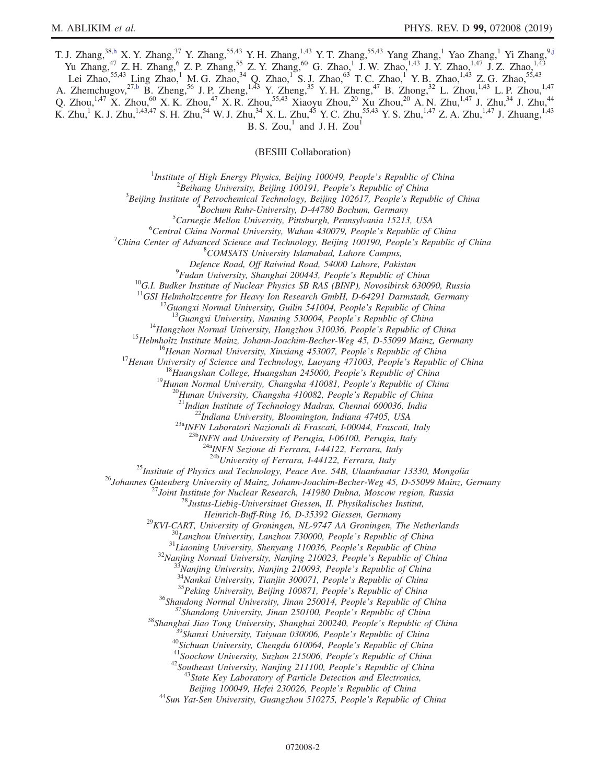T. J. Zhang,<sup>38[,h](#page-2-2)</sup> X. Y. Zhang,<sup>37</sup> Y. Zhang,<sup>55,43</sup> Y. H. Zhang,<sup>1,43</sup> Y. T. Zhang,<sup>55,43</sup> Yang Zhang,<sup>1</sup> Yao Zhang,<sup>1</sup> Yi Zhang,<sup>[9,j](#page-2-5)</sup> Yu Zhang,<sup>47</sup> Z. H. Zhang,<sup>6</sup> Z. P. Zhang,<sup>55</sup> Z. Y. Zhang,<sup>60</sup> G. Zhao,<sup>1</sup> J. W. Zhao,<sup>1,43</sup> J. Y. Zhao,<sup>1,47</sup> J. Z. Zhao,<sup>1,43</sup> Lei Zhao,<sup>55,43</sup> Ling Zhao,<sup>1</sup> M. G. Zhao,<sup>34</sup> Q. Zhao,<sup>1</sup> S. J. Zhao,<sup>63</sup> T. C. Zhao,<sup>1</sup> Y. B. Zhao,<sup>1,43</sup> Z. G. Zhao,<sup>55,43</sup> A. Zhemchugov,<sup>2[7,b](#page-2-1)</sup> B. Zheng,<sup>56</sup> J. P. Zheng,<sup>1,43</sup> Y. Zheng,<sup>35</sup> Y. H. Zheng,<sup>47</sup> B. Zhong,<sup>32</sup> L. Zhou,<sup>1,43</sup> L. P. Zhou,<sup>1,47</sup> Q. Zhou,<sup>1,47</sup> X. Zhou,<sup>60</sup> X. K. Zhou,<sup>47</sup> X. R. Zhou,<sup>55,43</sup> Xiaoyu Zhou,<sup>20</sup> Xu Zhou,<sup>20</sup> A. N. Zhu,<sup>1,47</sup> J. Zhu,<sup>34</sup> J. Zhu,<sup>44</sup> K. Zhu,<sup>1</sup> K. J. Zhu,<sup>1,43,47</sup> S. H. Zhu,<sup>54</sup> W. J. Zhu,<sup>34</sup> X. L. Zhu,<sup>45</sup> Y. C. Zhu,<sup>55,43</sup> Y. S. Zhu,<sup>1,47</sup> Z. A. Zhu,<sup>1,47</sup> J. Zhuang,<sup>1,43</sup>  $B. S. Zou<sup>1</sup>$  and J. H. Zou<sup>1</sup>

(BESIII Collaboration)

<sup>1</sup>Institute of High Energy Physics, Beijing 100049, People's Republic of China  $\frac{2 \text{Poibana}}{2}$ 

 $^2$ Beihang University, Beijing 100191, People's Republic of China

 ${}^{3}$ Beijing Institute of Petrochemical Technology, Beijing 102617, People's Republic of China

 $B$ ochum Ruhr-University, D-44780 Bochum, Germany

 ${}^{5}$ Carnegie Mellon University, Pittsburgh, Pennsylvania 15213, USA

 ${}^{6}$ Central China Normal University, Wuhan 430079, People's Republic of China

China Center of Advanced Science and Technology, Beijing 100190, People's Republic of China <sup>8</sup>

<sup>8</sup>COMSATS University Islamabad, Lahore Campus,

Defence Road, Off Raiwind Road, 54000 Lahore, Pakistan <sup>9</sup>Fudan University, Shanghai 200443, People's Republic of China

<sup>10</sup>G.I. Budker Institute of Nuclear Physics SB RAS (BINP), Novosibirsk 630090, Russia <sup>11</sup>GSI Helmholtzcentre for Heavy Ion Research GmbH, D-64291 Darmstadt, Germany

<sup>11</sup>GSI Helmholtzcentre for Heavy Ion Research GmbH, D-64291 Darmstadt, Germany<br><sup>12</sup>Guangxi Normal University, Guilin 541004, People's Republic of China<br><sup>13</sup>Guangxi University, Nanning 530004, People's Republic of China<br><sup></sup>

 $^{23a}$ INFN Laboratori Nazionali di Frascati, I-00044, Frascati, Italy<br> $^{23b}$ INFN and University of Perugia, I-06100, Perugia, Italy

 $\frac{^{24a}NFN}{^{24b}University}$  of Ferrara, I-44122, Ferrara, Italy<br> $\frac{^{24b}V}{^{24b}University}$  of Ferrara, I-44122, Ferrara, Italy

<sup>25</sup>Institute of Physics and Technology, Peace Ave. 54B, Ulaanbaatar 13330, Mongolia<br><sup>26</sup>Johannes Gutenberg University of Mainz, Johann-Joachim-Becher-Weg 45, D-55099 Mainz, Germany<br><sup>27</sup>Joint Institute for Nuclear Researc

Heinrich-Buff-Ring 16, D-35392 Giessen, Germany<br>
<sup>29</sup>KVI-CART, University of Groningen, NL-9747 AA Groningen, The Netherlands<br>
<sup>31</sup>Liaoning University, Lanzhou 730000, People's Republic of China<br>
<sup>31</sup>Liaoning University, S

Beijing 100049, Hefei 230026, People's Republic of China<br><sup>44</sup>Sun Yat-Sen University, Guangzhou 510275, People's Republic of China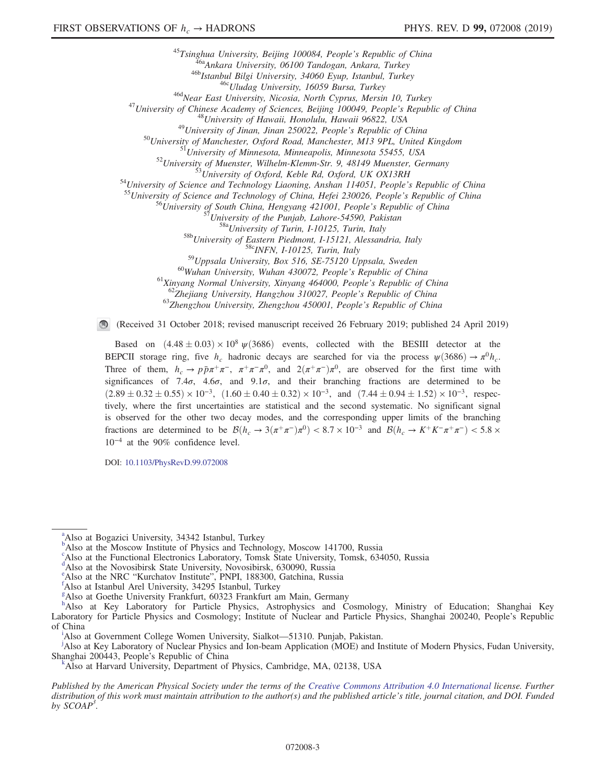<sup>45</sup>Tsinghua University, Beijing 100084, People's Republic of China<br><sup>465</sup>Ankara University, 06100 Tandogan, Ankara, Turkey<br><sup>466</sup>Istanbul Bilgi University, 4600 Eyup, Istanbul, Turkey<br><sup>466</sup>Istanbul Silgi University, 16059

<sup>60</sup>Wuhan University, Wuhan 430072, People's Republic of China<br><sup>61</sup>Xinyang Normal University, Xinyang 464000, People's Republic of China<br><sup>62</sup>Zhejiang University, Hangzhou 310027, People's Republic of China<br><sup>63</sup>Zhengzhou U

(Received 31 October 2018; revised manuscript received 26 February 2019; published 24 April 2019)

Based on  $(4.48 \pm 0.03) \times 10^8 \text{ }\psi(3686)$  events, collected with the BESIII detector at the BEPCII storage ring, five  $h_c$  hadronic decays are searched for via the process  $\psi(3686) \rightarrow \pi^0 h_c$ . Three of them,  $h_c \to p\bar{p}\pi^+\pi^-$ ,  $\pi^+\pi^-\pi^0$ , and  $2(\pi^+\pi^-)\pi^0$ , are observed for the first time with significances of 7.4 $\sigma$ , 4.6 $\sigma$ , and 9.1 $\sigma$ , and their branching fractions are determined to be  $(2.89 \pm 0.32 \pm 0.55) \times 10^{-3}$ ,  $(1.60 \pm 0.40 \pm 0.32) \times 10^{-3}$ , and  $(7.44 \pm 0.94 \pm 1.52) \times 10^{-3}$ , respectively, where the first uncertainties are statistical and the second systematic. No significant signal is observed for the other two decay modes, and the corresponding upper limits of the branching fractions are determined to be  $\mathcal{B}(h_c \to 3(\pi^+\pi^-)\pi^0) < 8.7 \times 10^{-3}$  and  $\mathcal{B}(h_c \to K^+K^-\pi^+\pi^-) < 5.8 \times 10^{-3}$ 10<sup>−</sup><sup>4</sup> at the 90% confidence level.

DOI: [10.1103/PhysRevD.99.072008](https://doi.org/10.1103/PhysRevD.99.072008)

c Also at the Functional Electronics Laboratory, Tomsk State University, Tomsk, 634050, Russia

<span id="page-2-0"></span><sup>[d](#page-0-2)</sup>Also at the Novosibirsk State University, Novosibirsk, 630090, Russia

<span id="page-2-8"></span><sup>[e](#page-0-3)</sup> Also at the NRC "Kurchatov Institute", PNPI, 188300, Gatchina, Russia

<span id="page-2-6"></span>Also at Harvard University, Department of Physics, Cambridge, MA, 02138, USA

Published by the American Physical Society under the terms of the [Creative Commons Attribution 4.0 International](https://creativecommons.org/licenses/by/4.0/) license. Further distribution of this work must maintain attribution to the author(s) and the published article's title, journal citation, and DOI. Funded by  $SCOAP<sup>3</sup>$ .

<span id="page-2-9"></span><sup>&</sup>lt;sup>[a](#page-0-0)</sup>Also at Bogazici University, 34342 Istanbul, Turkey

<span id="page-2-1"></span><sup>&</sup>lt;sup>[b](#page-0-1)</sup>Also at the Moscow Institute of Physics and Technology, Moscow 141700, Russia

<span id="page-2-4"></span><sup>&</sup>lt;sup>f</sup>Also at Istanbul Arel University, 34295 Istanbul, Turkey

<span id="page-2-3"></span>[g](#page-0-5) Also at Goethe University Frankfurt, 60323 Frankfurt am Main, Germany

<span id="page-2-2"></span>[h](#page-0-6) Also at Key Laboratory for Particle Physics, Astrophysics and Cosmology, Ministry of Education; Shanghai Key Laboratory for Particle Physics and Cosmology; Institute of Nuclear and Particle Physics, Shanghai 200240, People's Republic of Ch[i](#page-0-7)na

<span id="page-2-7"></span><sup>&</sup>lt;sup>i</sup>Also at Government College Women University, Sialkot—51310. Pun[j](#page-0-8)ab, Pakistan.

<span id="page-2-5"></span>Also at Key Laboratory of Nuclear Physics and Ion-beam Application (MOE) and Institute of Modern Physics, Fudan University, Shanghai 200443, People's Republic of China [k](#page-0-2)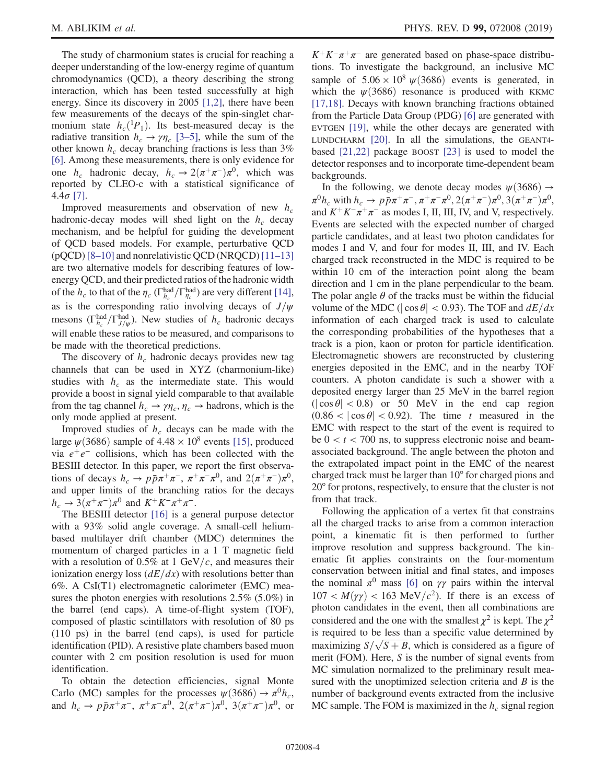The study of charmonium states is crucial for reaching a deeper understanding of the low-energy regime of quantum chromodynamics (QCD), a theory describing the strong interaction, which has been tested successfully at high energy. Since its discovery in 2005 [\[1,2\]](#page-7-0), there have been few measurements of the decays of the spin-singlet charmonium state  $h_c({}^1P_1)$ . Its best-measured decay is the radiative transition  $h_c \rightarrow \gamma \eta_c$  [3–[5\]](#page-7-1), while the sum of the other known  $h_c$  decay branching fractions is less than 3% [\[6\]](#page-7-2). Among these measurements, there is only evidence for one  $h_c$  hadronic decay,  $h_c \to 2(\pi^+\pi^-)\pi^0$ , which was reported by CLEO-c with a statistical significance of 4.4σ [\[7\].](#page-7-3)

Improved measurements and observation of new  $h_c$ hadronic-decay modes will shed light on the  $h_c$  decay mechanism, and be helpful for guiding the development of QCD based models. For example, perturbative QCD (pQCD) [8–[10\]](#page-7-4) and nonrelativistic QCD (NRQCD) [\[11](#page-7-5)–13] are two alternative models for describing features of lowenergy QCD, and their predicted ratios of the hadronic width of the  $h_c$  to that of the  $\eta_c$  ( $\Gamma_{h_c}^{\text{had}}/\Gamma_{\eta_c}^{\text{had}}$ ) are very different [\[14\]](#page-7-6), as is the corresponding ratio involving decays of  $J/\psi$ mesons ( $\Gamma_{h_c}^{\text{had}}/\Gamma_{J/\psi}^{\text{had}}$ ). New studies of  $h_c$  hadronic decays will enable these ratios to be measured, and comparisons to be made with the theoretical predictions.

The discovery of  $h_c$  hadronic decays provides new tag channels that can be used in XYZ (charmonium-like) studies with  $h_c$  as the intermediate state. This would provide a boost in signal yield comparable to that available from the tag channel  $h_c \to \gamma \eta_c$ ,  $\eta_c \to$  hadrons, which is the only mode applied at present.

Improved studies of  $h_c$  decays can be made with the large  $\psi$ (3686) sample of 4.48 × 10<sup>8</sup> events [\[15\],](#page-7-7) produced via  $e^+e^-$  collisions, which has been collected with the BESIII detector. In this paper, we report the first observations of decays  $h_c \to p\bar{p}\pi^+\pi^-$ ,  $\pi^+\pi^-\pi^0$ , and  $2(\pi^+\pi^-)\pi^0$ , and upper limits of the branching ratios for the decays  $h_c \to 3(\pi^+\pi^-)\pi^0$  and  $K^+K^-\pi^+\pi^-$ .

The BESIII detector [\[16\]](#page-7-8) is a general purpose detector with a 93% solid angle coverage. A small-cell heliumbased multilayer drift chamber (MDC) determines the momentum of charged particles in a 1 T magnetic field with a resolution of 0.5% at 1 GeV/c, and measures their ionization energy loss  $\left(\frac{dE}{dx}\right)$  with resolutions better than 6%. A CsI(T1) electromagnetic calorimeter (EMC) measures the photon energies with resolutions 2.5% (5.0%) in the barrel (end caps). A time-of-flight system (TOF), composed of plastic scintillators with resolution of 80 ps (110 ps) in the barrel (end caps), is used for particle identification (PID). A resistive plate chambers based muon counter with 2 cm position resolution is used for muon identification.

To obtain the detection efficiencies, signal Monte Carlo (MC) samples for the processes  $\psi(3686) \rightarrow \pi^0 h_c$ , and  $h_c \to p\bar{p}\pi^+\pi^-$ ,  $\pi^+\pi^-\pi^0$ ,  $2(\pi^+\pi^-)\pi^0$ ,  $3(\pi^+\pi^-)\pi^0$ , or  $K^+K^-\pi^+\pi^-$  are generated based on phase-space distributions. To investigate the background, an inclusive MC sample of  $5.06 \times 10^8 \psi(3686)$  events is generated, in which the  $\psi$ (3686) resonance is produced with KKMC [\[17,18\]](#page-7-9). Decays with known branching fractions obtained from the Particle Data Group (PDG) [\[6\]](#page-7-2) are generated with EVTGEN [\[19\],](#page-7-10) while the other decays are generated with LUNDCHARM [\[20\].](#page-7-11) In all the simulations, the GEANT4 based [\[21,22\]](#page-7-12) package BOOST [\[23\]](#page-7-13) is used to model the detector responses and to incorporate time-dependent beam backgrounds.

In the following, we denote decay modes  $\psi(3686) \rightarrow$  $\pi^{0}h_c$  with  $h_c \to p\bar{p}\pi^{+}\pi^{-}, \pi^{+}\pi^{-}\pi^{0}, 2(\pi^{+}\pi^{-})\pi^{0}, 3(\pi^{+}\pi^{-})\pi^{0}$ , and  $K^+K^-\pi^+\pi^-$  as modes I, II, III, IV, and V, respectively. Events are selected with the expected number of charged particle candidates, and at least two photon candidates for modes I and V, and four for modes II, III, and IV. Each charged track reconstructed in the MDC is required to be within 10 cm of the interaction point along the beam direction and 1 cm in the plane perpendicular to the beam. The polar angle  $\theta$  of the tracks must be within the fiducial volume of the MDC ( $|\cos \theta|$  < 0.93). The TOF and  $dE/dx$ information of each charged track is used to calculate the corresponding probabilities of the hypotheses that a track is a pion, kaon or proton for particle identification. Electromagnetic showers are reconstructed by clustering energies deposited in the EMC, and in the nearby TOF counters. A photon candidate is such a shower with a deposited energy larger than 25 MeV in the barrel region  $(|\cos \theta| < 0.8)$  or 50 MeV in the end cap region  $(0.86 < |\cos \theta| < 0.92)$ . The time t measured in the EMC with respect to the start of the event is required to be  $0 < t < 700$  ns, to suppress electronic noise and beamassociated background. The angle between the photon and the extrapolated impact point in the EMC of the nearest charged track must be larger than 10° for charged pions and 20° for protons, respectively, to ensure that the cluster is not from that track.

Following the application of a vertex fit that constrains all the charged tracks to arise from a common interaction point, a kinematic fit is then performed to further improve resolution and suppress background. The kinematic fit applies constraints on the four-momentum conservation between initial and final states, and imposes the nominal  $\pi^0$  mass [\[6\]](#page-7-2) on  $\gamma\gamma$  pairs within the interval  $107 < M(\gamma\gamma) < 163$  MeV/ $c^2$ ). If there is an excess of photon candidates in the event, then all combinations are considered and the one with the smallest  $\chi^2$  is kept. The  $\chi^2$ is required to be less than a specific value determined by maximizing  $S/\sqrt{S+B}$ , which is considered as a figure of merit (FOM). Here, S is the number of signal events from MC simulation normalized to the preliminary result measured with the unoptimized selection criteria and  $B$  is the number of background events extracted from the inclusive MC sample. The FOM is maximized in the  $h_c$  signal region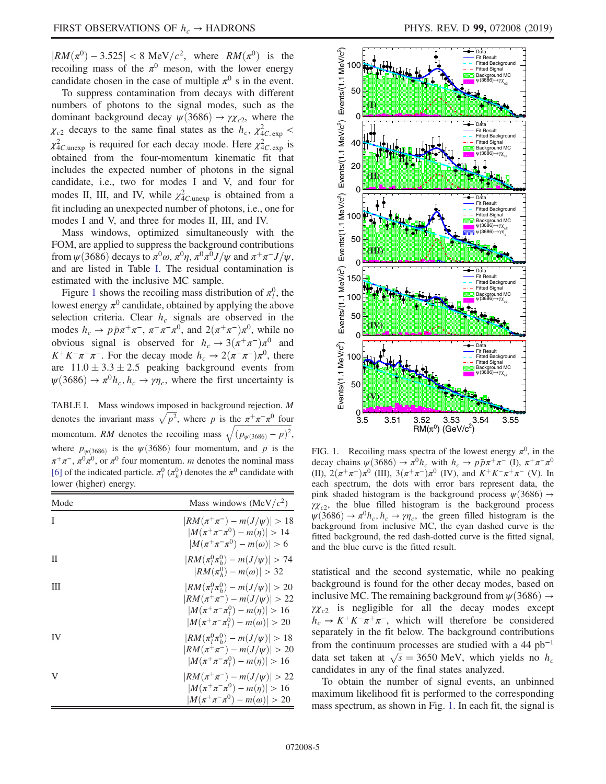$|RM(\pi^{0}) - 3.525| < 8 \text{ MeV}/c^{2}$ , where  $RM(\pi^{0})$  is the recoiling mass of the  $\pi^0$  meson, with the lower energy candidate chosen in the case of multiple  $\pi^0$  s in the event.

To suppress contamination from decays with different numbers of photons to the signal modes, such as the dominant background decay  $\psi(3686) \rightarrow \gamma \chi_{c2}$ , where the  $\chi_{c2}$  decays to the same final states as the  $h_c$ ,  $\chi^2_{4C.\exp}$  <  $\chi^2_{4C,\text{unexp}}$  is required for each decay mode. Here  $\chi^2_{4C,\text{exp}}$  is obtained from the four-momentum kinematic fit that includes the expected number of photons in the signal candidate, i.e., two for modes I and V, and four for modes II, III, and IV, while  $\chi^2_{4C\text{.unexp}}$  is obtained from a fit including an unexpected number of photons, i.e., one for modes I and V, and three for modes II, III, and IV.

Mass windows, optimized simultaneously with the FOM, are applied to suppress the background contributions from  $\psi(3686)$  decays to  $\pi^0 \omega$ ,  $\pi^0 \eta$ ,  $\pi^0 \pi^0 J/\psi$  and  $\pi^+ \pi^- J/\psi$ , and are listed in Table [I](#page-4-0). The residual contamination is estimated with the inclusive MC sample.

Figure [1](#page-4-1) shows the recoiling mass distribution of  $\pi_l^0$ , the lowest energy  $\pi^0$  candidate, obtained by applying the above selection criteria. Clear  $h_c$  signals are observed in the modes  $h_c \to p\bar{p}\pi^+\pi^-$ ,  $\pi^+\pi^-\pi^0$ , and  $2(\pi^+\pi^-)\pi^0$ , while no obvious signal is observed for  $h_c \to 3(\pi^+\pi^-)\pi^0$  and  $K^+K^-\pi^+\pi^-$ . For the decay mode  $h_c \to 2(\pi^+\pi^-)\pi^0$ , there are  $11.0 \pm 3.3 \pm 2.5$  peaking background events from  $\psi(3686) \rightarrow \pi^0 h_c, h_c \rightarrow \gamma \eta_c$ , where the first uncertainty is

<span id="page-4-0"></span>TABLE I. Mass windows imposed in background rejection. M denotes the invariant mass  $\sqrt{p^2}$ , where p is the  $\pi^+\pi^-\pi^0$  four momentum. RM denotes the recoiling mass  $\sqrt{(p_{\psi(3686)} - p)^2}$ , where  $p_{\psi(3686)}$  is the  $\psi(3686)$  four momentum, and p is the  $\pi^+\pi^-$ ,  $\pi^0\pi^0$ , or  $\pi^0$  four momentum. *m* denotes the nominal mass [\[6\]](#page-7-2) of the indicated particle.  $\pi_l^0$  ( $\pi_h^0$ ) denotes the  $\pi^0$  candidate with lower (higher) energy.

| Mode | Mass windows (MeV/ $c2$ )                                                                                                                                           |  |  |
|------|---------------------------------------------------------------------------------------------------------------------------------------------------------------------|--|--|
| T    | $ RM(\pi^+\pi^-) - m(J/\psi)  > 18$<br>$ M(\pi^+\pi^-\pi^0)-m(\eta) >14$<br>$ M(\pi^+\pi^-\pi^0)-m(\omega)  > 6$                                                    |  |  |
| Π    | $ RM(\pi_l^0 \pi_h^0) - m(J/\psi)  > 74$<br>$ RM(\pi_h^0) - m(\omega)  > 32$                                                                                        |  |  |
| Ш    | $ RM(\pi_l^0 \pi_h^0) - m(J/\psi)  > 20$<br>$ RM(\pi^+\pi^-) - m(J/\psi)  > 22$<br>$ M(\pi^+\pi^-\pi^0) - m(\eta)  > 16$<br>$ M(\pi^+\pi^-\pi_1^0)-m(\omega)  > 20$ |  |  |
| IV   | $ RM(\pi_l^0 \pi_h^0) - m(J/\psi)  > 18$<br>$ RM(\pi^+\pi^-) - m(J/\psi)  > 20$<br>$ M(\pi^+\pi^-\pi_1^0)-m(\eta) >16$                                              |  |  |
| V    | $ RM(\pi^+\pi^-) - m(J/\psi)  > 22$<br>$ M(\pi^+\pi^-\pi^0)-m(\eta) >16$<br>$ M(\pi^+\pi^-\pi^0)-m(\omega)  > 20$                                                   |  |  |

<span id="page-4-1"></span>

FIG. 1. Recoiling mass spectra of the lowest energy  $\pi^0$ , in the decay chains  $\psi(3686) \to \pi^0 h_c$  with  $h_c \to p\bar{p}\pi^+\pi^-$  (I),  $\pi^+\pi^-\pi^0$ (II),  $2(\pi^+\pi^-)\pi^0$  (III),  $3(\pi^+\pi^-)\pi^0$  (IV), and  $K^+K^-\pi^+\pi^-$  (V). In each spectrum, the dots with error bars represent data, the pink shaded histogram is the background process  $\psi$ (3686)  $\rightarrow$  $\gamma \chi_{c2}$ , the blue filled histogram is the background process  $\psi$ (3686)  $\rightarrow \pi^0 h_c, h_c \rightarrow \gamma \eta_c$ , the green filled histogram is the background from inclusive MC, the cyan dashed curve is the fitted background, the red dash-dotted curve is the fitted signal, and the blue curve is the fitted result.

statistical and the second systematic, while no peaking background is found for the other decay modes, based on inclusive MC. The remaining background from  $\psi$  (3686)  $\rightarrow$  $\gamma \chi_{c2}$  is negligible for all the decay modes except  $h_c \rightarrow K^+K^-\pi^+\pi^-$ , which will therefore be considered separately in the fit below. The background contributions from the continuum processes are studied with a 44  $pb^{-1}$ data set taken at  $\sqrt{s} = 3650$  MeV, which yields no  $h_c$ candidates in any of the final states analyzed.

To obtain the number of signal events, an unbinned maximum likelihood fit is performed to the corresponding mass spectrum, as shown in Fig. [1.](#page-4-1) In each fit, the signal is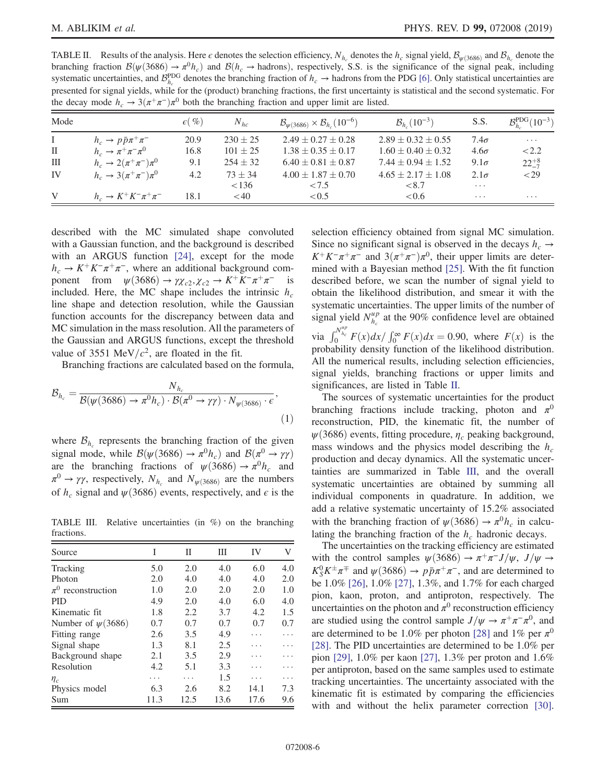<span id="page-5-0"></span>TABLE II. Results of the analysis. Here  $\epsilon$  denotes the selection efficiency,  $N_{h_c}$  denotes the  $h_c$  signal yield,  $\mathcal{B}_{\psi(3686)}$  and  $\mathcal{B}_{h_c}$  denote the branching fraction  $\mathcal{B}(\psi(3686) \to \pi^0 h_c)$  and  $\mathcal{B}(h_c \to \text{hadrons})$ , respectively, S.S. is the significance of the signal peak, including systematic uncertainties, and  $\mathcal{B}_{h_c}^{\text{PDG}}$  denotes the branching fraction of  $h_c \to$  hadrons from the PDG [\[6\]](#page-7-2). Only statistical uncertainties are presented for signal yields, while for the (product) branching fractions, the first uncertainty is statistical and the second systematic. For the decay mode  $h_c \to 3(\pi^+\pi^-)\pi^0$  both the branching fraction and upper limit are listed.

| Mode         |                                         | $\epsilon(\%)$ | $N_{hc}$     | $\mathcal{B}_{\psi(3686)} \times \mathcal{B}_{h_c}(10^{-6})$ | $B_h (10^{-3})$          | S.S.        | $B_h^{\rm PDG}(10^{-3})$ |
|--------------|-----------------------------------------|----------------|--------------|--------------------------------------------------------------|--------------------------|-------------|--------------------------|
| $\bf{I}$     | $h_c \rightarrow p \bar{p} \pi^+ \pi^-$ | 20.9           | $230 \pm 25$ | $2.49 + 0.27 + 0.28$                                         | $2.89 + 0.32 + 0.55$     | $7.4\sigma$ | $\cdots$                 |
| $\mathbf{I}$ | $h_c \rightarrow \pi^+ \pi^- \pi^0$     | 16.8           | $101 \pm 25$ | $1.38 + 0.35 + 0.17$                                         | $1.60 \pm 0.40 \pm 0.32$ | $4.6\sigma$ | < 2.2                    |
| Ш            | $h_c \to 2(\pi^+\pi^-)\pi^0$            | 9.1            | $254 + 32$   | $6.40 \pm 0.81 \pm 0.87$                                     | $7.44 + 0.94 + 1.52$     | $9.1\sigma$ | $22^{+8}_{-7}$           |
| IV           | $h_c \to 3(\pi^+\pi^-)\pi^0$            | 4.2            | $73 + 34$    | $4.00 \pm 1.87 \pm 0.70$                                     | $4.65 \pm 2.17 \pm 1.08$ | $2.1\sigma$ | $<$ 29                   |
|              |                                         |                | < 136        | <7.5                                                         | < 8.7                    | $\cdots$    |                          |
| V            | $h_c \to K^+ K^- \pi^+ \pi^-$           | 18.1           | < 40         | < 0.5                                                        | < 0.6                    | $\cdots$    | $\cdots$                 |

described with the MC simulated shape convoluted with a Gaussian function, and the background is described with an ARGUS function [\[24\],](#page-7-14) except for the mode  $h_c \to K^+K^-\pi^+\pi^-$ , where an additional background component from  $\psi$ (3686) →  $\gamma \chi_{c2}, \chi_{c2} \to K^+ K^- \pi^+ \pi^-$  is included. Here, the MC shape includes the intrinsic  $h_c$ line shape and detection resolution, while the Gaussian function accounts for the discrepancy between data and MC simulation in the mass resolution. All the parameters of the Gaussian and ARGUS functions, except the threshold value of 3551 MeV/ $c^2$ , are floated in the fit.

Branching fractions are calculated based on the formula,

$$
\mathcal{B}_{h_c} = \frac{N_{h_c}}{\mathcal{B}(\psi(3686) \to \pi^0 h_c) \cdot \mathcal{B}(\pi^0 \to \gamma \gamma) \cdot N_{\psi(3686)} \cdot \epsilon},\tag{1}
$$

where  $\mathcal{B}_{h_c}$  represents the branching fraction of the given signal mode, while  $\mathcal{B}(\psi(3686) \to \pi^0 h_c)$  and  $\mathcal{B}(\pi^0 \to \gamma \gamma)$ are the branching fractions of  $\psi(3686) \rightarrow \pi^0 h_c$  and  $\pi^0 \to \gamma \gamma$ , respectively,  $N_{h_c}$  and  $N_{\psi(3686)}$  are the numbers of  $h_c$  signal and  $\psi$ (3686) events, respectively, and  $\epsilon$  is the

<span id="page-5-1"></span>TABLE III. Relative uncertainties (in %) on the branching fractions.

| Source                 | I    | П    | Ш    | IV   | V   |
|------------------------|------|------|------|------|-----|
| Tracking               | 5.0  | 2.0  | 4.0  | 6.0  | 4.0 |
| Photon                 | 2.0  | 4.0  | 4.0  | 4.0  | 2.0 |
| $\pi^0$ reconstruction | 1.0  | 2.0  | 2.0  | 2.0  | 1.0 |
| <b>PID</b>             | 4.9  | 2.0  | 4.0  | 6.0  | 4.0 |
| Kinematic fit.         | 1.8  | 2.2  | 3.7  | 4.2  | 1.5 |
| Number of $\psi(3686)$ | 0.7  | 0.7  | 0.7  | 0.7  | 0.7 |
| Fitting range          | 2.6  | 3.5  | 4.9  |      |     |
| Signal shape           | 1.3  | 8.1  | 2.5  |      |     |
| Background shape       | 2.1  | 3.5  | 2.9  |      |     |
| Resolution             | 4.2  | 5.1  | 3.3  |      |     |
| $\eta_c$               | .    |      | 1.5  |      |     |
| Physics model          | 6.3  | 2.6  | 8.2  | 14.1 | 7.3 |
| Sum                    | 11.3 | 12.5 | 13.6 | 17.6 | 9.6 |

selection efficiency obtained from signal MC simulation. Since no significant signal is observed in the decays  $h_c \rightarrow$  $K^+K^-\pi^+\pi^-$  and  $3(\pi^+\pi^-)\pi^0$ , their upper limits are determined with a Bayesian method [\[25\]](#page-7-15). With the fit function described before, we scan the number of signal yield to obtain the likelihood distribution, and smear it with the systematic uncertainties. The upper limits of the number of signal yield  $N_{h_c}^{\mu p}$  at the 90% confidence level are obtained via  $\int_0^{N_{h_c}^{up}} F(x) dx / \int_0^{\infty} F(x) dx = 0.90$ , where  $F(x)$  is the probability density function of the likelihood distribution. All the numerical results, including selection efficiencies,

signal yields, branching fractions or upper limits and

significances, are listed in Table [II.](#page-5-0) The sources of systematic uncertainties for the product branching fractions include tracking, photon and  $\pi^0$ reconstruction, PID, the kinematic fit, the number of  $\psi(3686)$  events, fitting procedure,  $\eta_c$  peaking background, mass windows and the physics model describing the  $h_c$ production and decay dynamics. All the systematic uncertainties are summarized in Table [III,](#page-5-1) and the overall systematic uncertainties are obtained by summing all individual components in quadrature. In addition, we add a relative systematic uncertainty of 15.2% associated with the branching fraction of  $\psi(3686) \rightarrow \pi^0 h_c$  in calculating the branching fraction of the  $h_c$  hadronic decays.

The uncertainties on the tracking efficiency are estimated with the control samples  $\psi(3686) \to \pi^+\pi^- J/\psi$ ,  $J/\psi \to$  $K_S^0 K^{\pm} \pi^{\mp}$  and  $\psi$ (3686)  $\rightarrow p \bar{p} \pi^+ \pi^-$ , and are determined to be 1.0% [\[26\]](#page-7-16), 1.0% [\[27\]](#page-7-17), 1.3%, and 1.7% for each charged pion, kaon, proton, and antiproton, respectively. The uncertainties on the photon and  $\pi^0$  reconstruction efficiency are studied using the control sample  $J/\psi \rightarrow \pi^+\pi^-\pi^0$ , and are determined to be 1.0% per photon [\[28\]](#page-7-18) and 1% per  $\pi^0$ [\[28\]](#page-7-18). The PID uncertainties are determined to be 1.0% per pion [\[29\]](#page-7-19), 1.0% per kaon [\[27\]](#page-7-17), 1.3% per proton and 1.6% per antiproton, based on the same samples used to estimate tracking uncertainties. The uncertainty associated with the kinematic fit is estimated by comparing the efficiencies with and without the helix parameter correction [\[30\]](#page-7-20).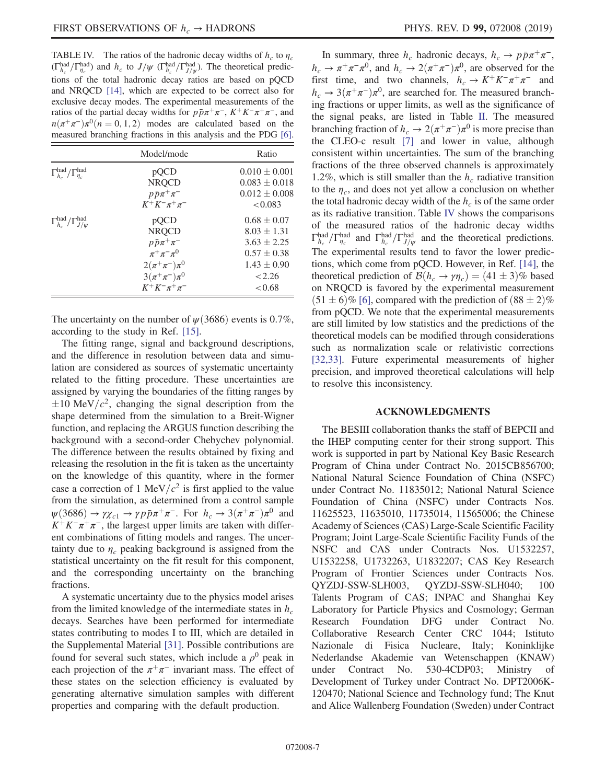<span id="page-6-0"></span>TABLE IV. The ratios of the hadronic decay widths of  $h_c$  to  $\eta_c$  $(\Gamma_{h_c}^{\text{had}}/\Gamma_{\eta_c}^{\text{had}})$  and  $h_c$  to  $J/\psi$  ( $\Gamma_{h_c}^{\text{had}}/\Gamma_{J/\psi}^{\text{had}}$ ). The theoretical predictions of the total hadronic decay ratios are based on pQCD and NRQCD [\[14\]](#page-7-6), which are expected to be correct also for exclusive decay modes. The experimental measurements of the ratios of the partial decay widths for  $p\bar{p}\pi^+\pi^-$ ,  $K^+K^-\pi^+\pi^-$ , and  $n(\pi^+\pi^-)\pi^0$  $(n = 0, 1, 2)$  modes are calculated based on the measured branching fractions in this analysis and the PDG [\[6\].](#page-7-2)

|                                                          | Model/mode                 | Ratio             |
|----------------------------------------------------------|----------------------------|-------------------|
| $\Gamma_{h_c}^{\text{had}}/\Gamma_{\eta_c}^{\text{had}}$ | pQCD                       | $0.010 \pm 0.001$ |
|                                                          | <b>NRQCD</b>               | $0.083 \pm 0.018$ |
|                                                          | $p\bar{p}\pi^{+}\pi^{-}$   | $0.012 \pm 0.008$ |
|                                                          | $K^+K^-\pi^+\pi^-$         | < 0.083           |
| $\Gamma_{h_c}^{\text{had}}/\Gamma_{J/\psi}^{\text{had}}$ | pQCD                       | $0.68 \pm 0.07$   |
|                                                          | <b>NRQCD</b>               | $8.03 \pm 1.31$   |
|                                                          | $p\bar{p}\pi^{+}\pi^{-}$   | $3.63 \pm 2.25$   |
|                                                          | $\pi^+\pi^-\pi^0$          | $0.57 \pm 0.38$   |
|                                                          | $2(\pi^{+}\pi^{-})\pi^{0}$ | $1.43 \pm 0.90$   |
|                                                          | $3(\pi^{+}\pi^{-})\pi^{0}$ | < 2.26            |
|                                                          | $K^+K^-\pi^+\pi^-$         | < 0.68            |

The uncertainty on the number of  $\psi$  (3686) events is 0.7%, according to the study in Ref. [\[15\]](#page-7-7).

The fitting range, signal and background descriptions, and the difference in resolution between data and simulation are considered as sources of systematic uncertainty related to the fitting procedure. These uncertainties are assigned by varying the boundaries of the fitting ranges by  $\pm 10$  MeV/ $c^2$ , changing the signal description from the shape determined from the simulation to a Breit-Wigner function, and replacing the ARGUS function describing the background with a second-order Chebychev polynomial. The difference between the results obtained by fixing and releasing the resolution in the fit is taken as the uncertainty on the knowledge of this quantity, where in the former case a correction of 1 MeV/ $c^2$  is first applied to the value from the simulation, as determined from a control sample  $\psi$ (3686) →  $\gamma \chi_{c1} \to \gamma p \bar{p} \pi^+ \pi^-$ . For  $h_c \to 3(\pi^+ \pi^-) \pi^0$  and  $K^+K^-\pi^+\pi^-$ , the largest upper limits are taken with different combinations of fitting models and ranges. The uncertainty due to  $\eta_c$  peaking background is assigned from the statistical uncertainty on the fit result for this component, and the corresponding uncertainty on the branching fractions.

A systematic uncertainty due to the physics model arises from the limited knowledge of the intermediate states in  $h_c$ decays. Searches have been performed for intermediate states contributing to modes I to III, which are detailed in the Supplemental Material [\[31\]](#page-7-21). Possible contributions are found for several such states, which include a  $\rho^0$  peak in each projection of the  $\pi^+\pi^-$  invariant mass. The effect of these states on the selection efficiency is evaluated by generating alternative simulation samples with different properties and comparing with the default production.

In summary, three  $h_c$  hadronic decays,  $h_c \rightarrow p\bar{p}\pi^+\pi^-$ ,  $h_c \to \pi^+\pi^-\pi^0$ , and  $h_c \to 2(\pi^+\pi^-)\pi^0$ , are observed for the first time, and two channels,  $h_c \rightarrow K^+K^-\pi^+\pi^-$  and  $h_c \to 3(\pi^+\pi^-)\pi^0$ , are searched for. The measured branching fractions or upper limits, as well as the significance of the signal peaks, are listed in Table [II](#page-5-0). The measured branching fraction of  $h_c \to 2(\pi^+\pi^-)\pi^0$  is more precise than the CLEO-c result [\[7\]](#page-7-3) and lower in value, although consistent within uncertainties. The sum of the branching fractions of the three observed channels is approximately 1.2%, which is still smaller than the  $h_c$  radiative transition to the  $\eta_c$ , and does not yet allow a conclusion on whether the total hadronic decay width of the  $h_c$  is of the same order as its radiative transition. Table [IV](#page-6-0) shows the comparisons of the measured ratios of the hadronic decay widths  $\Gamma_{h_c}^{\text{had}}/\Gamma_{h_c}^{\text{had}}/\Gamma_{h_c}^{\text{had}}/\Gamma_{J/\psi}^{\text{had}}$  and the theoretical predictions. The experimental results tend to favor the lower predictions, which come from pQCD. However, in Ref. [\[14\],](#page-7-6) the theoretical prediction of  $\mathcal{B}(h_c \to \gamma \eta_c) = (41 \pm 3)\%$  based on NRQCD is favored by the experimental measurement  $(51 \pm 6)\%$  [\[6\],](#page-7-2) compared with the prediction of  $(88 \pm 2)\%$ from pQCD. We note that the experimental measurements are still limited by low statistics and the predictions of the theoretical models can be modified through considerations such as normalization scale or relativistic corrections [\[32,33\]](#page-7-22). Future experimental measurements of higher precision, and improved theoretical calculations will help to resolve this inconsistency.

## ACKNOWLEDGMENTS

The BESIII collaboration thanks the staff of BEPCII and the IHEP computing center for their strong support. This work is supported in part by National Key Basic Research Program of China under Contract No. 2015CB856700; National Natural Science Foundation of China (NSFC) under Contract No. 11835012; National Natural Science Foundation of China (NSFC) under Contracts Nos. 11625523, 11635010, 11735014, 11565006; the Chinese Academy of Sciences (CAS) Large-Scale Scientific Facility Program; Joint Large-Scale Scientific Facility Funds of the NSFC and CAS under Contracts Nos. U1532257, U1532258, U1732263, U1832207; CAS Key Research Program of Frontier Sciences under Contracts Nos. QYZDJ-SSW-SLH003, QYZDJ-SSW-SLH040; 100 Talents Program of CAS; INPAC and Shanghai Key Laboratory for Particle Physics and Cosmology; German Research Foundation DFG under Contract No. Collaborative Research Center CRC 1044; Istituto Nazionale di Fisica Nucleare, Italy; Koninklijke Nederlandse Akademie van Wetenschappen (KNAW) under Contract No. 530-4CDP03; Ministry of Development of Turkey under Contract No. DPT2006K-120470; National Science and Technology fund; The Knut and Alice Wallenberg Foundation (Sweden) under Contract